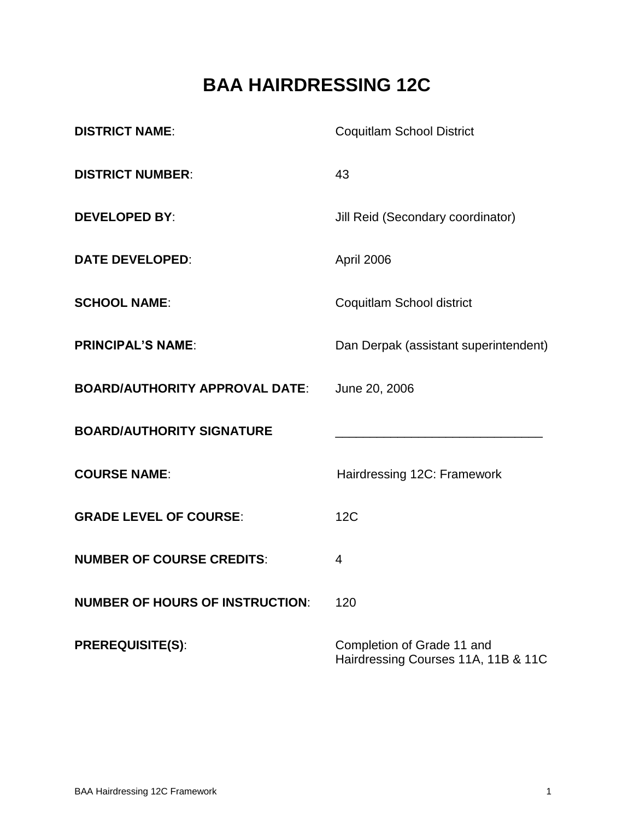# **BAA HAIRDRESSING 12C**

| <b>DISTRICT NAME:</b>                  | <b>Coquitlam School District</b>                                  |  |
|----------------------------------------|-------------------------------------------------------------------|--|
| <b>DISTRICT NUMBER:</b>                | 43                                                                |  |
| <b>DEVELOPED BY:</b>                   | Jill Reid (Secondary coordinator)                                 |  |
| <b>DATE DEVELOPED:</b>                 | April 2006                                                        |  |
| <b>SCHOOL NAME:</b>                    | Coquitlam School district                                         |  |
| <b>PRINCIPAL'S NAME:</b>               | Dan Derpak (assistant superintendent)                             |  |
| <b>BOARD/AUTHORITY APPROVAL DATE:</b>  | June 20, 2006                                                     |  |
| <b>BOARD/AUTHORITY SIGNATURE</b>       |                                                                   |  |
| <b>COURSE NAME:</b>                    | Hairdressing 12C: Framework                                       |  |
| <b>GRADE LEVEL OF COURSE:</b>          | 12C                                                               |  |
| <b>NUMBER OF COURSE CREDITS:</b>       | 4                                                                 |  |
| <b>NUMBER OF HOURS OF INSTRUCTION:</b> | 120                                                               |  |
| <b>PREREQUISITE(S):</b>                | Completion of Grade 11 and<br>Hairdressing Courses 11A, 11B & 11C |  |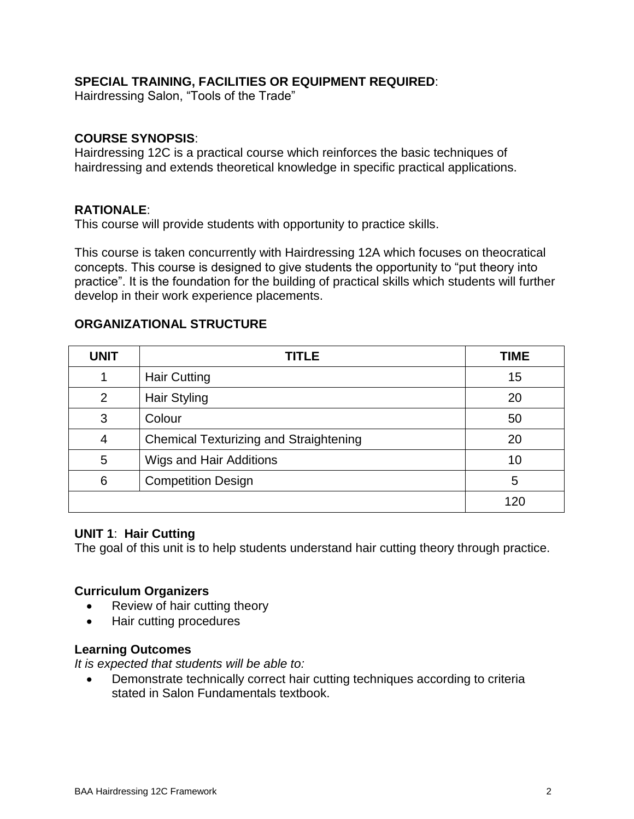## **SPECIAL TRAINING, FACILITIES OR EQUIPMENT REQUIRED**:

Hairdressing Salon, "Tools of the Trade"

#### **COURSE SYNOPSIS**:

Hairdressing 12C is a practical course which reinforces the basic techniques of hairdressing and extends theoretical knowledge in specific practical applications.

#### **RATIONALE**:

This course will provide students with opportunity to practice skills.

This course is taken concurrently with Hairdressing 12A which focuses on theocratical concepts. This course is designed to give students the opportunity to "put theory into practice". It is the foundation for the building of practical skills which students will further develop in their work experience placements.

#### **ORGANIZATIONAL STRUCTURE**

| <b>UNIT</b> | <b>TITLE</b>                                  | <b>TIME</b> |
|-------------|-----------------------------------------------|-------------|
|             | <b>Hair Cutting</b>                           | 15          |
| ົ           | Hair Styling                                  | 20          |
| 3           | Colour                                        | 50          |
| 4           | <b>Chemical Texturizing and Straightening</b> | 20          |
| 5           | Wigs and Hair Additions                       | 10          |
| 6           | <b>Competition Design</b>                     | 5           |
|             |                                               | 120         |

#### **UNIT 1**: **Hair Cutting**

The goal of this unit is to help students understand hair cutting theory through practice.

#### **Curriculum Organizers**

- Review of hair cutting theory
- Hair cutting procedures

#### **Learning Outcomes**

*It is expected that students will be able to:*

 Demonstrate technically correct hair cutting techniques according to criteria stated in Salon Fundamentals textbook.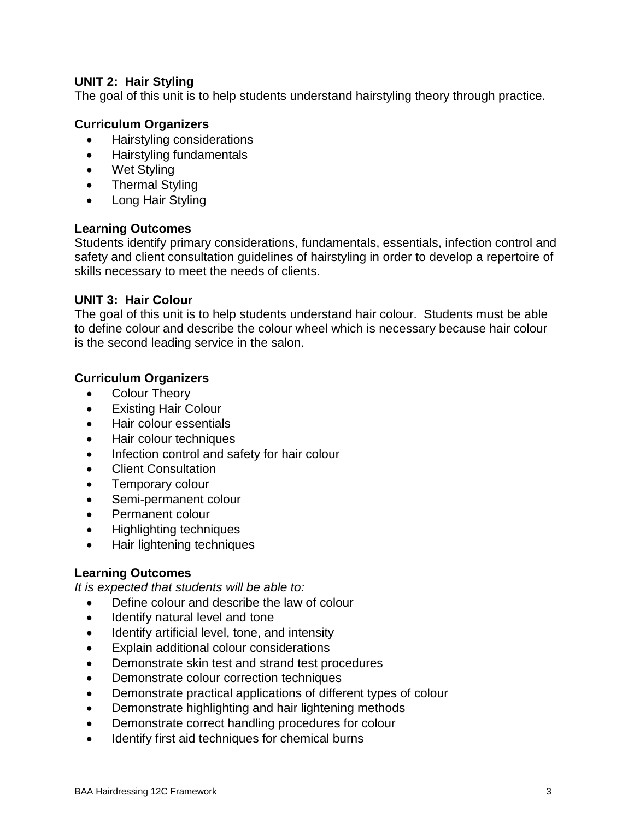# **UNIT 2: Hair Styling**

The goal of this unit is to help students understand hairstyling theory through practice.

## **Curriculum Organizers**

- Hairstyling considerations
- Hairstyling fundamentals
- Wet Styling
- Thermal Styling
- Long Hair Styling

## **Learning Outcomes**

Students identify primary considerations, fundamentals, essentials, infection control and safety and client consultation guidelines of hairstyling in order to develop a repertoire of skills necessary to meet the needs of clients.

#### **UNIT 3: Hair Colour**

The goal of this unit is to help students understand hair colour. Students must be able to define colour and describe the colour wheel which is necessary because hair colour is the second leading service in the salon.

## **Curriculum Organizers**

- Colour Theory
- Existing Hair Colour
- Hair colour essentials
- Hair colour techniques
- Infection control and safety for hair colour
- Client Consultation
- Temporary colour
- Semi-permanent colour
- Permanent colour
- Highlighting techniques
- Hair lightening techniques

## **Learning Outcomes**

*It is expected that students will be able to:*

- Define colour and describe the law of colour
- Identify natural level and tone
- Identify artificial level, tone, and intensity
- Explain additional colour considerations
- Demonstrate skin test and strand test procedures
- Demonstrate colour correction techniques
- Demonstrate practical applications of different types of colour
- Demonstrate highlighting and hair lightening methods
- Demonstrate correct handling procedures for colour
- Identify first aid techniques for chemical burns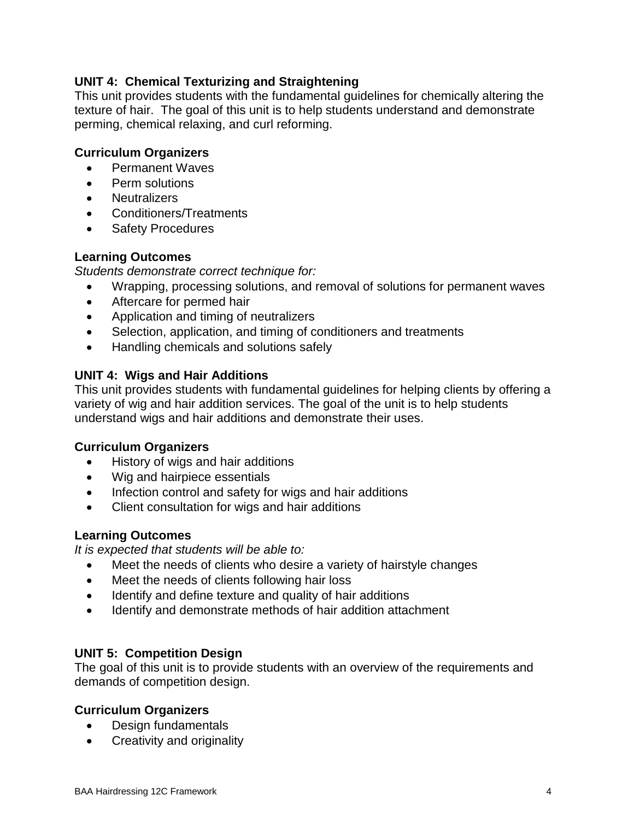# **UNIT 4: Chemical Texturizing and Straightening**

This unit provides students with the fundamental guidelines for chemically altering the texture of hair. The goal of this unit is to help students understand and demonstrate perming, chemical relaxing, and curl reforming.

## **Curriculum Organizers**

- Permanent Waves
- Perm solutions
- Neutralizers
- Conditioners/Treatments
- Safety Procedures

## **Learning Outcomes**

*Students demonstrate correct technique for:*

- Wrapping, processing solutions, and removal of solutions for permanent waves
- Aftercare for permed hair
- Application and timing of neutralizers
- Selection, application, and timing of conditioners and treatments
- Handling chemicals and solutions safely

# **UNIT 4: Wigs and Hair Additions**

This unit provides students with fundamental guidelines for helping clients by offering a variety of wig and hair addition services. The goal of the unit is to help students understand wigs and hair additions and demonstrate their uses.

## **Curriculum Organizers**

- History of wigs and hair additions
- Wig and hairpiece essentials
- Infection control and safety for wigs and hair additions
- Client consultation for wigs and hair additions

## **Learning Outcomes**

*It is expected that students will be able to:*

- Meet the needs of clients who desire a variety of hairstyle changes
- Meet the needs of clients following hair loss
- Identify and define texture and quality of hair additions
- Identify and demonstrate methods of hair addition attachment

## **UNIT 5: Competition Design**

The goal of this unit is to provide students with an overview of the requirements and demands of competition design.

# **Curriculum Organizers**

- Design fundamentals
- Creativity and originality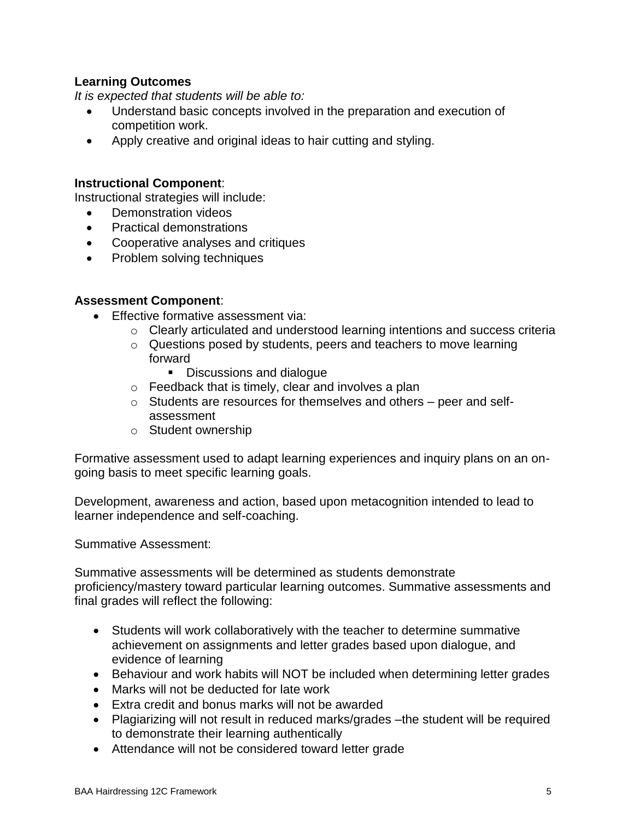# **Learning Outcomes**

*It is expected that students will be able to:*

- Understand basic concepts involved in the preparation and execution of competition work.
- Apply creative and original ideas to hair cutting and styling.

## **Instructional Component**:

Instructional strategies will include:

- Demonstration videos
- Practical demonstrations
- Cooperative analyses and critiques
- Problem solving techniques

# **Assessment Component**:

- **Effective formative assessment via:** 
	- o Clearly articulated and understood learning intentions and success criteria
	- o Questions posed by students, peers and teachers to move learning forward
		- Discussions and dialogue
	- o Feedback that is timely, clear and involves a plan
	- o Students are resources for themselves and others peer and selfassessment
	- o Student ownership

Formative assessment used to adapt learning experiences and inquiry plans on an ongoing basis to meet specific learning goals.

Development, awareness and action, based upon metacognition intended to lead to learner independence and self-coaching.

Summative Assessment:

Summative assessments will be determined as students demonstrate proficiency/mastery toward particular learning outcomes. Summative assessments and final grades will reflect the following:

- Students will work collaboratively with the teacher to determine summative achievement on assignments and letter grades based upon dialogue, and evidence of learning
- Behaviour and work habits will NOT be included when determining letter grades
- Marks will not be deducted for late work
- Extra credit and bonus marks will not be awarded
- Plagiarizing will not result in reduced marks/grades –the student will be required to demonstrate their learning authentically
- Attendance will not be considered toward letter grade